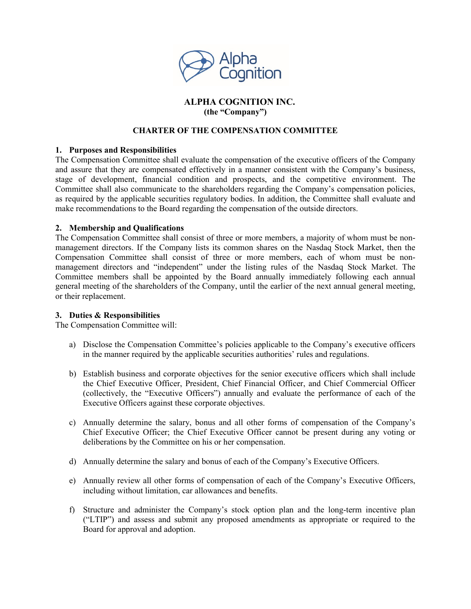

# **ALPHA COGNITION INC. (the "Company")**

## **CHARTER OF THE COMPENSATION COMMITTEE**

### **1. Purposes and Responsibilities**

The Compensation Committee shall evaluate the compensation of the executive officers of the Company and assure that they are compensated effectively in a manner consistent with the Company's business, stage of development, financial condition and prospects, and the competitive environment. The Committee shall also communicate to the shareholders regarding the Company's compensation policies, as required by the applicable securities regulatory bodies. In addition, the Committee shall evaluate and make recommendations to the Board regarding the compensation of the outside directors.

### **2. Membership and Qualifications**

The Compensation Committee shall consist of three or more members, a majority of whom must be nonmanagement directors. If the Company lists its common shares on the Nasdaq Stock Market, then the Compensation Committee shall consist of three or more members, each of whom must be nonmanagement directors and "independent" under the listing rules of the Nasdaq Stock Market. The Committee members shall be appointed by the Board annually immediately following each annual general meeting of the shareholders of the Company, until the earlier of the next annual general meeting, or their replacement.

## **3. Duties & Responsibilities**

The Compensation Committee will:

- a) Disclose the Compensation Committee's policies applicable to the Company's executive officers in the manner required by the applicable securities authorities' rules and regulations.
- b) Establish business and corporate objectives for the senior executive officers which shall include the Chief Executive Officer, President, Chief Financial Officer, and Chief Commercial Officer (collectively, the "Executive Officers") annually and evaluate the performance of each of the Executive Officers against these corporate objectives.
- c) Annually determine the salary, bonus and all other forms of compensation of the Company's Chief Executive Officer; the Chief Executive Officer cannot be present during any voting or deliberations by the Committee on his or her compensation.
- d) Annually determine the salary and bonus of each of the Company's Executive Officers.
- e) Annually review all other forms of compensation of each of the Company's Executive Officers, including without limitation, car allowances and benefits.
- f) Structure and administer the Company's stock option plan and the long-term incentive plan ("LTIP") and assess and submit any proposed amendments as appropriate or required to the Board for approval and adoption.